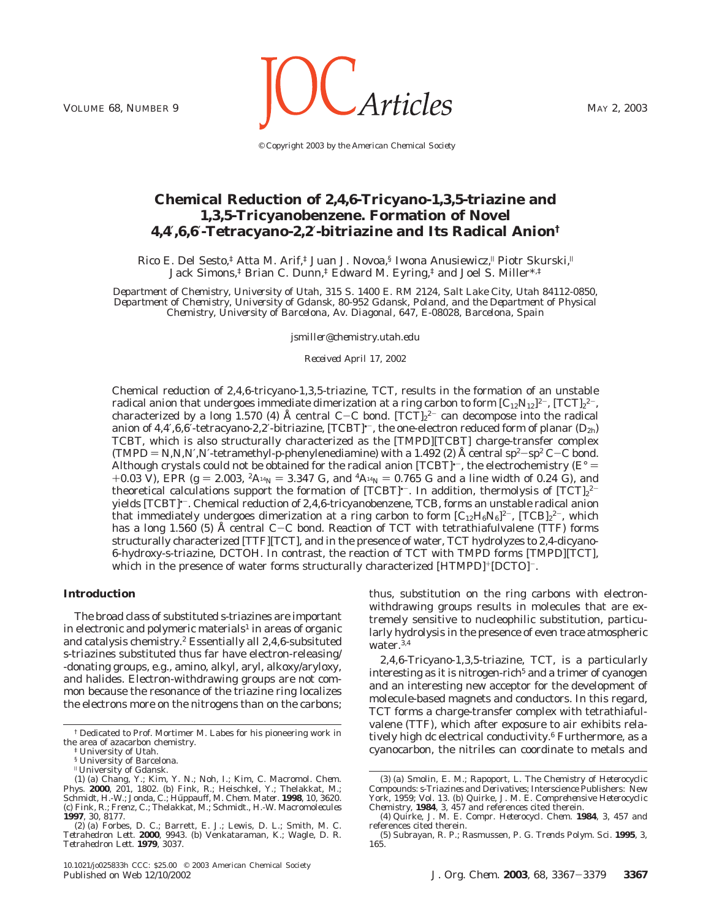

*© Copyright 2003 by the American Chemical Society*

# **Chemical Reduction of 2,4,6-Tricyano-1,3,5-triazine and 1,3,5-Tricyanobenzene. Formation of Novel 4,4**′**,6,6**′**-Tetracyano-2,2**′**-bitriazine and Its Radical Anion†**

Rico E. Del Sesto,<sup>‡</sup> Atta M. Arif,<sup>‡</sup> Juan J. Novoa,<sup>§</sup> Iwona Anusiewicz,<sup>||</sup> Piotr Skurski,<sup>||</sup> Jack Simons,‡ Brian C. Dunn,‡ Edward M. Eyring,‡ and Joel S. Miller\*,‡

*Department of Chemistry, University of Utah, 315 S. 1400 E. RM 2124, Salt Lake City, Utah 84112-0850, Department of Chemistry, University of Gdansk, 80-952 Gdansk, Poland, and the Department of Physical Chemistry, University of Barcelona, Av. Diagonal, 647, E-08028, Barcelona, Spain*

*jsmiller@chemistry.utah.edu*

*Received April 17, 2002*

Chemical reduction of 2,4,6-tricyano-1,3,5-triazine, TCT, results in the formation of an unstable radical anion that undergoes immediate dimerization at a ring carbon to form  $[C_{12}N_{12}]^{2-}$ ,  $[\rm{TCT}]_2{}^{2-}$ , characterized by a long 1.570 (4) Å central C–C bond.  $[\text{TCT}]_2^{2-}$  can decompose into the radical<br>anion of 4 4' 6 6'-tetracyano-2 2'-bitriazine.  $[\text{TCRT}]^{\star-}$  the one-electron reduced form of planar (De). anion of  $4,4',6,6'$ -tetracyano-2,2'-bitriazine, [TCBT] $^{\text{t}}$ , the one-electron reduced form of planar ( $D_{2h}$ ) TCBT, which is also structurally characterized as the [TMPD][TCBT] charge-transfer complex (TMPD =  $N$ , $N$ , $N$ , $N$ -tetramethyl- $p$ -phenylenediamine) with a 1.492 (2) Å central sp<sup>2</sup>-sp<sup>2</sup> C-C bond. Although crystals could not be obtained for the radical anion  $[TCBT]$ <sup>+</sup>, the electrochemistry ( $E^{\circ}$  = +0.03 V), EPR ( $g = 2.003$ ,  ${}^{2}A_{14}N = 3.347$  G, and  ${}^{4}A_{14}N = 0.765$  G and a line width of 0.24 G), and theoretical calculations support the formation of [TCBT] $^{\circ-}.$  In addition, thermolysis of [TCT] $z^{2-}$ yields [TCBT]•-. Chemical reduction of 2,4,6-tricyanobenzene, TCB, forms an unstable radical anion that immediately undergoes dimerization at a ring carbon to form  $\rm [C_{12}H_6N_6]^{2-}$ ,  $\rm [TCB]_2{}^{2-}$ , which has a long 1.560 (5) Å central C-C bond. Reaction of TCT with tetrathiafulvalene (TTF) forms structurally characterized [TTF][TCT], and in the presence of water, TCT hydrolyzes to 2,4-dicyano-6-hydroxy-*s*-triazine, DCTOH. In contrast, the reaction of TCT with TMPD forms [TMPD][TCT], which in the presence of water forms structurally characterized  $[HTML]$  [HTMPD]<sup>+</sup>[DCTO]<sup>-</sup>.

### **Introduction**

The broad class of substituted *s*-triazines are important in electronic and polymeric materials<sup>1</sup> in areas of organic and catalysis chemistry.2 Essentially all 2,4,6-subsituted *s-*triazines substituted thus far have electron-releasing/ -donating groups, e.g*.*, amino, alkyl, aryl, alkoxy/aryloxy, and halides. Electron-withdrawing groups are not common because the resonance of the triazine ring localizes the electrons more on the nitrogens than on the carbons;

thus, substitution on the ring carbons with electronwithdrawing groups results in molecules that are extremely sensitive to nucleophilic substitution, particularly hydrolysis in the presence of even trace atmospheric water.<sup>3,4</sup>

2,4,6-Tricyano-1,3,5-triazine, TCT, is a particularly interesting as it is nitrogen-rich<sup>5</sup> and a trimer of cyanogen and an interesting new acceptor for the development of molecule-based magnets and conductors. In this regard, TCT forms a charge-transfer complex with tetrathiafulvalene (TTF), which after exposure to air exhibits relatively high dc electrical conductivity.<sup>6</sup> Furthermore, as a cyanocarbon, the nitriles can coordinate to metals and

<sup>†</sup> Dedicated to Prof. Mortimer M. Labes for his pioneering work in the area of azacarbon chemistry.

<sup>‡</sup> University of Utah.

<sup>§</sup> University of Barcelona.

<sup>|</sup> University of Gdansk. (1) (a) Chang, Y.; Kim, Y. N.; Noh, I.; Kim, C. *Macromol. Chem.*<br>*Phys.* **2000**, *201*, 1802. (b) Fink, R.; Heischkel, Y.; Thelakkat, M.;<br>Schmidt, H.-W.; Jonda, C.; Hüppauff, M. *Chem. Mater*. **1998**, *10*, 3620.<br>(c) Fink **1997**, *30*, 8177.

<sup>(2) (</sup>a) Forbes, D. C.; Barrett, E. J.; Lewis, D. L.; Smith, M. C. *Tetrahedron Lett.* **2000**, 9943. (b) Venkataraman, K.; Wagle, D. R. *Tetrahedron Lett.* **1979**, 3037.

<sup>(3) (</sup>a) Smolin, E. M.; Rapoport, L. *The Chemistry of Heterocyclic Compounds: s-Triazines and Derivatives*; Interscience Publishers: New York, 1959; Vol. 13. (b) Quirke, J. M. E. *Comprehensive Heterocyclic Chemistry*, **1984**, *3*, 457 and references cited therein.

<sup>(4)</sup> Quirke, J. M. E. *Compr. Heterocycl. Chem.* **1984**, *3*, 457 and references cited therein.

<sup>(5)</sup> Subrayan, R. P.; Rasmussen, P. G. *Trends Polym. Sci.* **1995**, *3*, 165.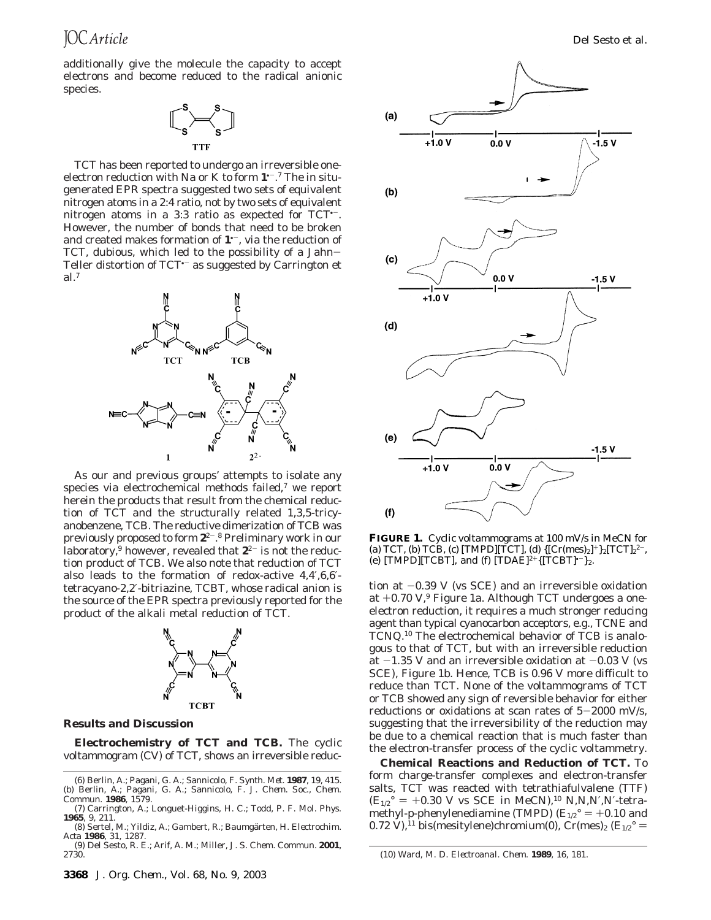additionally give the molecule the capacity to accept electrons and become reduced to the radical anionic species.



TCT has been reported to undergo an irreversible oneelectron reduction with Na or K to form **1**•-. <sup>7</sup> The in situgenerated EPR spectra suggested two sets of equivalent nitrogen atoms in a 2:4 ratio, not by two sets of equivalent nitrogen atoms in a 3:3 ratio as expected for TCT•-. However, the number of bonds that need to be broken and created makes formation of  $1^{\degree}$ , via the reduction of TCT, dubious, which led to the possibility of a Jahn-Teller distortion of TCT<sup>+-</sup> as suggested by Carrington et al.7



As our and previous groups' attempts to isolate any species via electrochemical methods failed, $<sup>7</sup>$  we report</sup> herein the products that result from the chemical reduction of TCT and the structurally related 1,3,5-tricyanobenzene, TCB. The reductive dimerization of TCB was previously proposed to form **2**<sup>2</sup>-. <sup>8</sup> Preliminary work in our laboratory,<sup>9</sup> however, revealed that  $2^{2}$  is not the reduction product of TCB. We also note that reduction of TCT also leads to the formation of redox-active 4,4′,6,6′ tetracyano-2,2′-bitriazine, TCBT, whose radical anion is the source of the EPR spectra previously reported for the product of the alkali metal reduction of TCT.



### **Results and Discussion**

**Electrochemistry of TCT and TCB.** The cyclic voltammogram (CV) of TCT, shows an irreversible reduc-



**FIGURE 1.** Cyclic voltammograms at 100 mV/s in MeCN for (a) TCT, (b) TCB, (c) [TMPD][TCT], (d)  $\{[Cr(mes)_2]^+\}_2[TCT]_2^2$ <sup>-</sup>, (e) [TMPD][TCBT], and (f) [TDAE]<sup>2+</sup>{[TCBT] $r$ <sup>-</sup>}<sub>2</sub>.

tion at  $-0.39$  V (vs SCE) and an irreversible oxidation at  $+0.70$  V,<sup>9</sup> Figure 1a. Although TCT undergoes a oneelectron reduction, it requires a much stronger reducing agent than typical cyanocarbon acceptors, e.g*.*, TCNE and TCNQ.10 The electrochemical behavior of TCB is analogous to that of TCT, but with an irreversible reduction at  $-1.35$  V and an irreversible oxidation at  $-0.03$  V (vs SCE), Figure 1b. Hence, TCB is 0.96 V more difficult to reduce than TCT. None of the voltammograms of TCT or TCB showed any sign of reversible behavior for either reductions or oxidations at scan rates of  $5-2000$  mV/s, suggesting that the irreversibility of the reduction may be due to a chemical reaction that is much faster than the electron-transfer process of the cyclic voltammetry.

**Chemical Reactions and Reduction of TCT.** To form charge-transfer complexes and electron-transfer salts, TCT was reacted with tetrathiafulvalene (TTF)  $(E_{1/2}^{\circ} = +0.30 \text{ V} \text{ vs } \text{SCE in } \text{MeCN}$ ,<sup>10</sup> *N*,*N*,*N*,*N*,*N*-tetramethyl-*p*-phenylenediamine (TMPD)  $(E_{1/2}^{\circ} = +0.10$  and 0.72 V),<sup>11</sup> bis(mesitylene)chromium(0), Cr(mes)<sub>2</sub> ( $E_{1/2}^{\circ}$  =

<sup>(6)</sup> Berlin, A.; Pagani, G. A.; Sannicolo, F. *Synth. Met.* **1987**, *19*, 415. (b) Berlin, A.; Pagani, G. A.; Sannicolo, F. *J. Chem. Soc., Chem. Commun.* **1986**, 1579.

<sup>(7)</sup> Carrington, A.; Longuet-Higgins, H. C.; Todd, P. F. *Mol. Phys.* **1965**, *9*, 211.

<sup>(8)</sup> Sertel, M.; Yildiz, A.; Gambert, R.; Baumgärten, H. *Electrochim. Acta* **1986**, *31*, 1287.

<sup>(9)</sup> Del Sesto, R. E.; Arif, A. M.; Miller, J. S. *Chem. Commun*. **2001**,

<sup>2730.</sup> (10) Ward, M. D. *Electroanal*. *Chem*. **1989**, *16*, 181.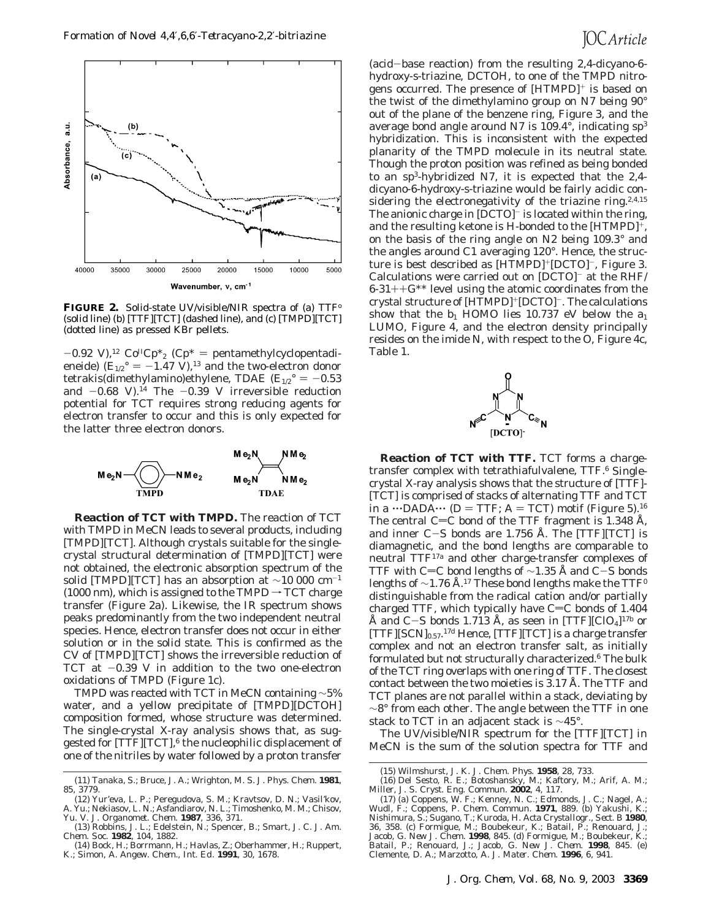

**FIGURE 2.** Solid-state UV/visible/NIR spectra of (a) TTFo (solid line) (b) [TTF][TCT] (dashed line), and (c) [TMPD][TCT] (dotted line) as pressed KBr pellets.

 $-0.92$  V),<sup>12</sup> Co<sup>II</sup>Cp<sup>\*</sup><sub>2</sub> (Cp<sup>\*</sup> = pentamethylcyclopentadieneide)  $(E_{1/2}^{\circ} = -1.47 \text{ V})$ ,<sup>13</sup> and the two-electron donor tetrakis(dimethylamino)ethylene, TDAE  $(E_{1/2}^{\circ} = -0.53)$ and  $-0.68$  V).<sup>14</sup> The  $-0.39$  V irreversible reduction potential for TCT requires strong reducing agents for electron transfer to occur and this is only expected for the latter three electron donors.



**Reaction of TCT with TMPD.** The reaction of TCT with TMPD in MeCN leads to several products, including [TMPD][TCT]. Although crystals suitable for the singlecrystal structural determination of [TMPD][TCT] were not obtained, the electronic absorption spectrum of the solid [TMPD][TCT] has an absorption at ∼10 000 cm-<sup>1</sup> (1000 nm), which is assigned to the TMPD  $\rightarrow$  TCT charge transfer (Figure 2a). Likewise, the IR spectrum shows peaks predominantly from the two independent neutral species. Hence, electron transfer does not occur in either solution or in the solid state. This is confirmed as the CV of [TMPD][TCT] shows the irreversible reduction of TCT at  $-0.39$  V in addition to the two one-electron oxidations of TMPD (Figure 1c).

TMPD was reacted with TCT in MeCN containing ∼5% water, and a yellow precipitate of [TMPD][DCTOH] composition formed, whose structure was determined. The single-crystal X-ray analysis shows that, as suggested for  $[TTF][TCT]$ ,  $6$  the nucleophilic displacement of one of the nitriles by water followed by a proton transfer

(acid-base reaction) from the resulting 2,4-dicyano-6 hydroxy-*s*-triazine, DCTOH, to one of the TMPD nitrogens occurred. The presence of [HTMPD]<sup>+</sup> is based on the twist of the dimethylamino group on N7 being 90° out of the plane of the benzene ring, Figure 3, and the average bond angle around N7 is 109.4°, indicating sp3 hybridization. This is inconsistent with the expected planarity of the TMPD molecule in its neutral state. Though the proton position was refined as being bonded to an sp3-hybridized N7, it is expected that the 2,4 dicyano-6-hydroxy-*s*-triazine would be fairly acidic considering the electronegativity of the triazine ring.<sup>2,4,15</sup> The anionic charge in [DCTO]<sup>-</sup> is located within the ring, and the resulting ketone is H-bonded to the  $[HTML]$ <sup>+</sup>, on the basis of the ring angle on N2 being 109.3° and the angles around C1 averaging 120°. Hence, the structure is best described as [HTMPD]+[DCTO]-, Figure 3. Calculations were carried out on [DCTO]- at the RHF/  $6-31++G^{**}$  level using the atomic coordinates from the crystal structure of [HTMPD]<sup>+</sup>[DCTO]<sup>-</sup>. The calculations show that the  $b_1$  HOMO lies 10.737 eV below the  $a_1$ LUMO, Figure 4, and the electron density principally resides on the imide N, with respect to the O, Figure 4c, Table 1.



**Reaction of TCT with TTF.** TCT forms a chargetransfer complex with tetrathiafulvalene, TTF.<sup>6</sup> Singlecrystal X-ray analysis shows that the structure of [TTF]- [TCT] is comprised of stacks of alternating TTF and TCT in a  $\cdots$ DADA $\cdots$  (*D* = TTF; A = TCT) motif (Figure 5).<sup>16</sup> The central C=C bond of the TTF fragment is 1.348 Å, and inner C-S bonds are 1.756 Å. The [TTF][TCT] is diamagnetic, and the bond lengths are comparable to neutral TTF17a and other charge-transfer complexes of TTF with C=C bond lengths of  $\sim$ 1.35 Å and C-S bonds lengths of  $\sim$ 1.76 Å.<sup>17</sup> These bond lengths make the TTF<sup>0</sup> distinguishable from the radical cation and/or partially charged TTF, which typically have  $C=C$  bonds of 1.404 Å and C-S bonds 1.713 Å, as seen in [TTF][ClO<sub>4</sub>]<sup>17b</sup> or [TTF][SCN]<sub>0.57</sub>.<sup>17d</sup> Hence, [TTF][TCT] is a charge transfer complex and not an electron transfer salt, as initially formulated but not structurally characterized.<sup>6</sup> The bulk of the TCT ring overlaps with one ring of TTF. The closest contact between the two moieties is 3.17 Å. The TTF and TCT planes are not parallel within a stack, deviating by ∼8° from each other. The angle between the TTF in one stack to TCT in an adjacent stack is ∼45°.

The UV/visible/NIR spectrum for the [TTF][TCT] in MeCN is the sum of the solution spectra for TTF and

<sup>(11)</sup> Tanaka, S.; Bruce, J. A.; Wrighton, M. S. *J. Phys. Chem.* **1981**, *85*, 3779.

<sup>(12)</sup> Yur'eva, L. P.; Peregudova, S. M.; Kravtsov, D. N.; Vasil'kov, A. Yu.; Nekiasov, L. N.; Asfandiarov, N. L.; Timoshenko, M. M.; Chisov, Yu. V. *J. Organomet. Chem.* **1987**, *336*, 371.

<sup>(13)</sup> Robbins, J. L.; Edelstein, N.; Spencer, B.; Smart, J. C. *J. Am. Chem. Soc.* **1982**, *104*, 1882.

<sup>(14)</sup> Bock, H.; Borrmann, H.; Havlas, Z.; Oberhammer, H.; Ruppert, K.; Simon, A. *Angew. Chem., Int. Ed.* **1991**, *30*, 1678.

<sup>(15)</sup> Wilmshurst, J. K. *J. Chem. Phys.* **1958**, *28*, 733.

<sup>(16)</sup> Del Sesto, R. E.; Botoshansky, M.; Kaftory, M.; Arif, A. M.; Miller, J. S. *Cryst. Eng. Commun.* **2002**, *4*, 117.

<sup>(17) (</sup>a) Coppens, W. F.; Kenney, N. C.; Edmonds, J. C.; Nagel, A.; Wudl, F.; Coppens, P. *Chem. Commun.* **1971**, 889. (b) Yakushi, K.; Nishimura, S.; Sugano, T.; Kuroda, H. *Acta Crystallogr., Sect. B* **1980**, *36*, 358. (c) Formigue, M.; Boubekeur, K.; Batail, P.; Renouard, J.; Jacob, G. *New J. Chem.* **1998**, 845. (d) Formigue, M.; Boubekeur, K.; Batail, P.; Renouard, J.; Jacob, G. *New J. Chem.* **1998**, 845. (e) Clemente, D. A.; Marzotto, A. *J. Mater. Chem.* **1996**, *6*, 941.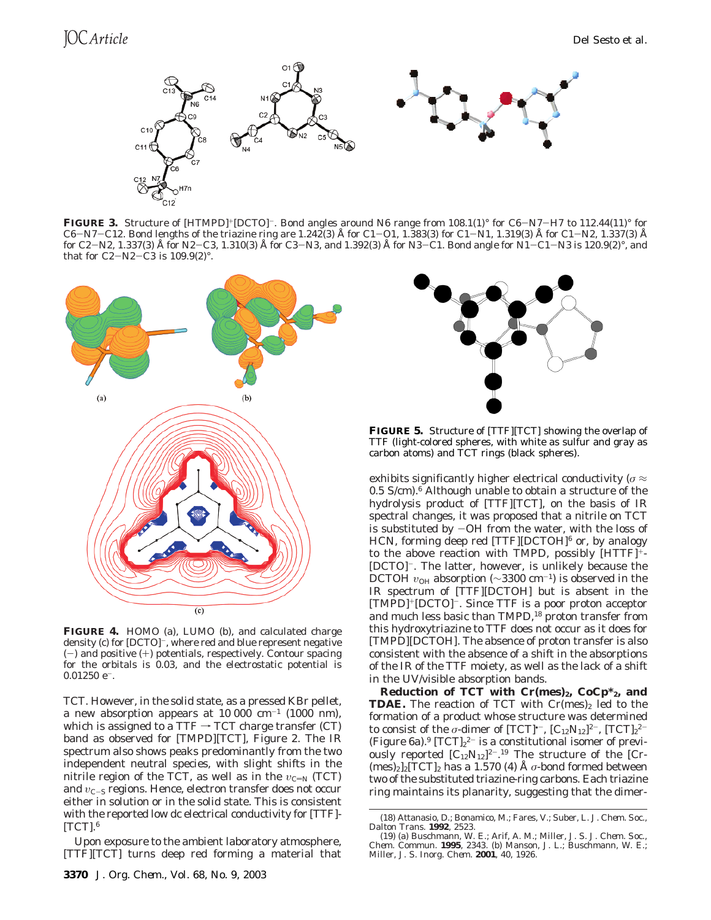

**FIGURE 3.** Structure of [HTMPD]<sup>+</sup>[DCTO]<sup>-</sup>. Bond angles around N6 range from 108.1(1)° for C6-N7-H7 to 112.44(11)° for C6-N7-C12. Bond lengths of the triazine ring are 1.242(3) Å for C1-O1, 1.383(3) for C1-N1, 1.319(3) Å for C1-N2, 1.337(3) Å for C2-N2, 1.337(3) Å for N2-C3, 1.310(3) Å for C3-N3, and 1.392(3) Å for N3-C1. Bond angle for N1-C1-N3 is 120.9(2)°, and that for C2-N2-C3 is  $109.9(2)$ °.



**FIGURE 4.** HOMO (a), LUMO (b), and calculated charge density (c) for [DCTO]<sup>-</sup>, where red and blue represent negative  $(-)$  and positive  $(+)$  potentials, respectively. Contour spacing for the orbitals is 0.03, and the electrostatic potential is  $0.01250$  e<sup>-</sup>.

TCT. However, in the solid state, as a pressed KBr pellet, a new absorption appears at  $10\,000\,$  cm<sup>-1</sup> (1000 nm), which is assigned to a TTF  $\rightarrow$  TCT charge transfer (CT) band as observed for [TMPD][TCT], Figure 2. The IR spectrum also shows peaks predominantly from the two independent neutral species, with slight shifts in the nitrile region of the TCT, as well as in the  $v_{\text{C-N}}$  (TCT) and *v*<sub>C-S</sub> regions. Hence, electron transfer does not occur either in solution or in the solid state. This is consistent with the reported low dc electrical conductivity for [TTF]-  $[TCT]$ .<sup>6</sup>

Upon exposure to the ambient laboratory atmosphere, [TTF][TCT] turns deep red forming a material that



**FIGURE 5.** Structure of [TTF][TCT] showing the overlap of TTF (light-colored spheres, with white as sulfur and gray as carbon atoms) and TCT rings (black spheres).

exhibits significantly higher electrical conductivity (*σ* ≈ 0.5 S/cm).6 Although unable to obtain a structure of the hydrolysis product of [TTF][TCT], on the basis of IR spectral changes, it was proposed that a nitrile on TCT is substituted by  $-OH$  from the water, with the loss of HCN, forming deep red [TTF][DCTOH]<sup>6</sup> or, by analogy to the above reaction with TMPD, possibly [HTTF]+- [DCTO]-. The latter, however, is unlikely because the DCTOH  $v_{OH}$  absorption (~3300 cm<sup>-1</sup>) is observed in the IR spectrum of [TTF][DCTOH] but is absent in the [TMPD]+[DCTO]-. Since TTF is a poor proton acceptor and much less basic than TMPD,<sup>18</sup> proton transfer from this hydroxytriazine to TTF does not occur as it does for [TMPD][DCTOH]. The absence of proton transfer is also consistent with the absence of a shift in the absorptions of the IR of the TTF moiety, as well as the lack of a shift in the UV/visible absorption bands.

**Reduction of TCT with**  $Cr(mes)_2$ **,**  $CoCp^*_{2}$ **, and TDAE.** The reaction of TCT with  $Cr(mes)_2$  led to the formation of a product whose structure was determined to consist of the *σ*-dimer of  $[TCT]$ <sup>\*-</sup>,  $[C_{12}N_{12}]^{2-}$ ,  $[TCT]_2^{2-}$ (Figure 6a).<sup>9</sup> [TCT] $_2$ <sup>2-</sup> is a constitutional isomer of previously reported  $[C_{12}N_{12}]^{2}$ <sup>-19</sup> The structure of the [Cr- $(mes)_{2}]_{2}[TCT]_{2}$  has a 1.570 (4) Å  $\sigma$ -bond formed between two of the substituted triazine-ring carbons. Each triazine ring maintains its planarity, suggesting that the dimer-

<sup>(18)</sup> Attanasio, D.; Bonamico, M.; Fares, V.; Suber, L. *J. Chem. Soc., Dalton Trans.* **1992**, 2523.

<sup>(19) (</sup>a) Buschmann, W. E.; Arif, A. M.; Miller, J. S. *J. Chem. Soc., Chem. Commun.* **1995**, 2343. (b) Manson, J. L.; Buschmann, W. E.; Miller, J. S. *Inorg. Chem.* **2001**, *40*, 1926.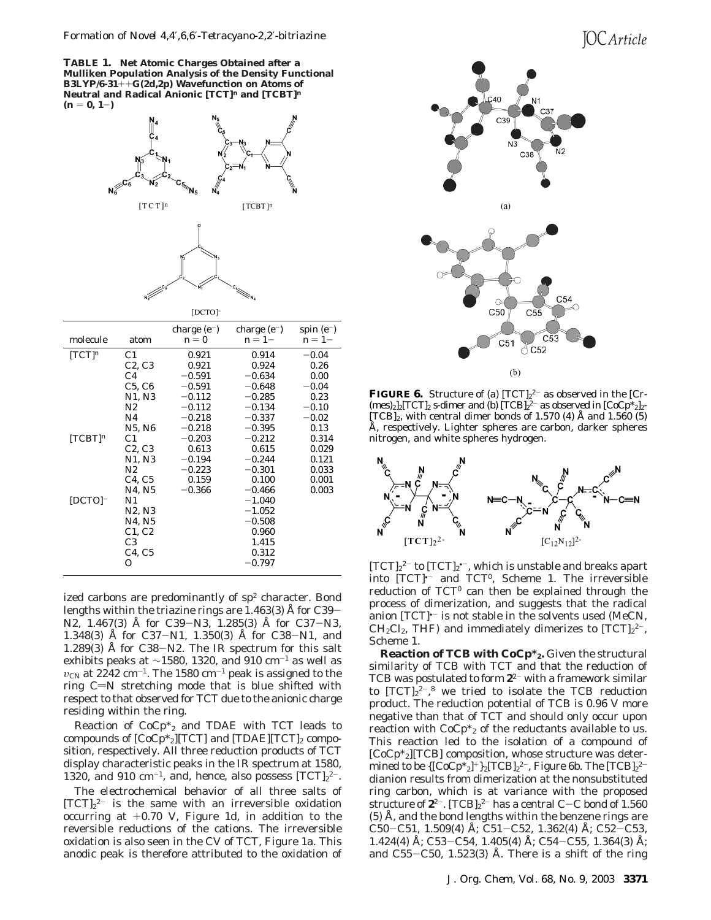# **IOC** Article

**TABLE 1. Net Atomic Charges Obtained after a Mulliken Population Analysis of the Density Functional B3LYP/6-31**++**G(2d,2p) Wavefunction on Atoms of Neutral and Radical Anionic [TCT]***<sup>n</sup>* **and [TCBT]***<sup>n</sup>*  $(n = 0, 1-)$ 



| molecule              | atom                            | charge $(e^-)$<br>$n=0$ | charge $(e^-)$<br>$n=1-$ | spin $(e^-)$<br>$n=1-$ |
|-----------------------|---------------------------------|-------------------------|--------------------------|------------------------|
| $[TCT]$ <sup>n</sup>  | C1                              | 0.921                   | 0.914                    | $-0.04$                |
|                       | C2, C3                          | 0.921                   | 0.924                    | 0.26                   |
|                       | C <sub>4</sub>                  | $-0.591$                | $-0.634$                 | 0.00                   |
|                       | C5, C6                          | $-0.591$                | $-0.648$                 | $-0.04$                |
|                       | N1, N3                          | $-0.112$                | $-0.285$                 | 0.23                   |
|                       | N2                              | $-0.112$                | $-0.134$                 | $-0.10$                |
|                       | N4                              | $-0.218$                | $-0.337$                 | $-0.02$                |
|                       | N5, N6                          | $-0.218$                | $-0.395$                 | 0.13                   |
| $[TCBT]$ <sup>n</sup> | C <sub>1</sub>                  | $-0.203$                | $-0.212$                 | 0.314                  |
|                       | C2, C3                          | 0.613                   | 0.615                    | 0.029                  |
|                       | N1, N3                          | $-0.194$                | $-0.244$                 | 0.121                  |
|                       | N2                              | $-0.223$                | $-0.301$                 | 0.033                  |
|                       | C4, C5                          | 0.159                   | 0.100                    | 0.001                  |
|                       | N4, N5                          | $-0.366$                | $-0.466$                 | 0.003                  |
| $[DCTO]$ -            | N1                              |                         | $-1.040$                 |                        |
|                       | N2, N3                          |                         | $-1.052$                 |                        |
|                       | N4, N5                          |                         | $-0.508$                 |                        |
|                       | C1, C2                          |                         | 0.960                    |                        |
|                       | C <sub>3</sub>                  |                         | 1.415                    |                        |
|                       | C <sub>4</sub> , C <sub>5</sub> |                         | 0.312                    |                        |
|                       | 0                               |                         | $-0.797$                 |                        |
|                       |                                 |                         |                          |                        |

ized carbons are predominantly of  $sp<sup>2</sup>$  character. Bond lengths within the triazine rings are 1.463(3) Å for C39- N2, 1.467(3) Å for C39-N3, 1.285(3) Å for C37-N3, 1.348(3) Å for C37-N1, 1.350(3) Å for C38-N1, and 1.289(3) Å for C38-N2. The IR spectrum for this salt exhibits peaks at ~1580, 1320, and 910 cm<sup>-1</sup> as well as  $v_{\text{CN}}$  at 2242 cm<sup>-1</sup>. The 1580 cm<sup>-1</sup> peak is assigned to the ring  $C=N$  stretching mode that is blue shifted with respect to that observed for TCT due to the anionic charge residing within the ring.

Reaction of  $CoCp*_{2}$  and TDAE with TCT leads to compounds of  $[CoCp*_{2}][TCT]$  and  $[TDAE][TCT]_{2}$  composition, respectively. All three reduction products of TCT display characteristic peaks in the IR spectrum at 1580, 1320, and 910 cm<sup>-1</sup>, and, hence, also possess  $[TCT]_{2}^{2-}$ .

The electrochemical behavior of all three salts of  $[TCT]_2^2$  is the same with an irreversible oxidation occurring at +0.70 V, Figure 1d, in addition to the reversible reductions of the cations. The irreversible oxidation is also seen in the CV of TCT, Figure 1a. This anodic peak is therefore attributed to the oxidation of



**FIGURE 6.** Structure of (a)  $[TCT]_2^2$  as observed in the  $[Cr$  $(mes)_2]_2[TCT]_2$  *s*-dimer and (b)  $[TCB]_2^{2-}$  as observed in  $[CoCp^*_{2}]_2$ - $[TCB]_2$ , with central dimer bonds of 1.570 (4) Å and 1.560 (5) Å, respectively. Lighter spheres are carbon, darker spheres nitrogen, and white spheres hydrogen.



 $[TCT]_2^2$ <sup>-</sup> to  $[TCT]_2^2$ , which is unstable and breaks apart into  $[TCT]$ <sup>--</sup> and  $TCT^0$ , Scheme 1. The irreversible reduction of  $TCT^0$  can then be explained through the process of dimerization, and suggests that the radical anion  $[TCT]$ <sup> $-$ </sup> is not stable in the solvents used (MeCN,  $CH_2Cl_2$ , THF) and immediately dimerizes to  $[TCT]_2^2$ <sup>-</sup>, Scheme 1.

**Reaction of TCB with CoCp\*2.** Given the structural similarity of TCB with TCT and that the reduction of TCB was postulated to form **2**<sup>2</sup>- with a framework similar to  $[TCT]_2^2$ <sup>-</sup>,<sup>8</sup> we tried to isolate the TCB reduction product. The reduction potential of TCB is 0.96 V more negative than that of TCT and should only occur upon reaction with  $CoCp*_{2}$  of the reductants available to us. This reaction led to the isolation of a compound of  $[CoCp*_2]$ [TCB] composition, whose structure was determined to be  $\{[\mathrm{CoCp^*}_2]^+\}_2 [\mathrm{TCB}]_2{}^{2-}$ , Figure 6b. The  $[\mathrm{TCB}]_2{}^{2-}$ dianion results from dimerization at the nonsubstituted ring carbon, which is at variance with the proposed structure of **2**<sup>2-</sup>. [TCB]<sub>2</sub><sup>2-</sup> has a central C–C bond of 1.560<br>(5) Å , and the bond lengths within the benzene rings are (5) Å, and the bond lengths within the benzene rings are C50-C51, 1.509(4) Å; C51-C52, 1.362(4) Å; C52-C53, 1.424(4) Å; C53-C54, 1.405(4) Å; C54-C55, 1.364(3) Å; and  $C55-C50$ , 1.523(3) Å. There is a shift of the ring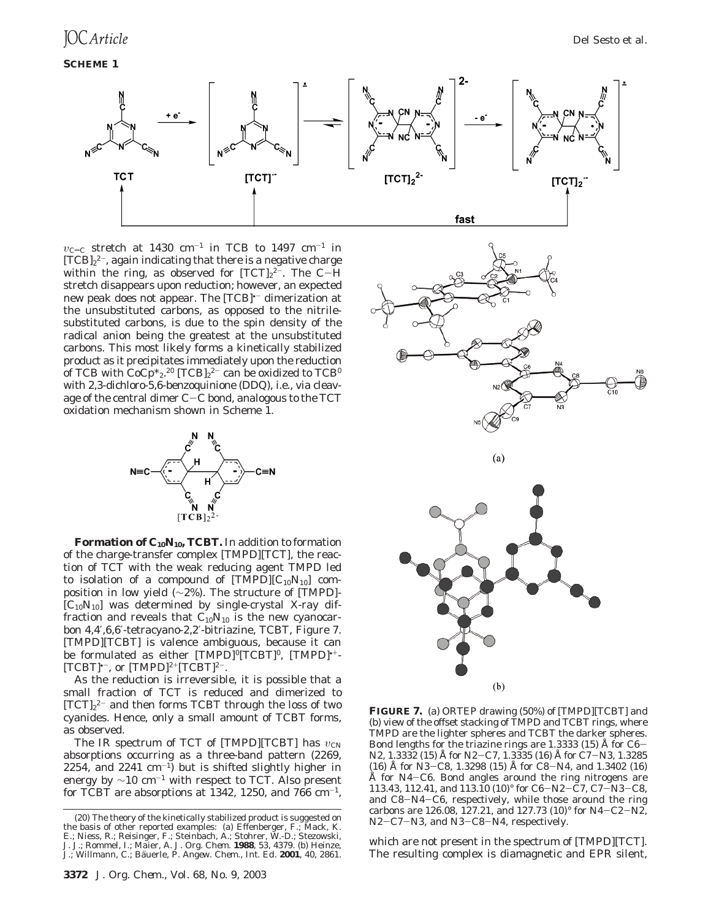**SCHEME 1**



 $v_{\text{C}=C}$  stretch at 1430 cm<sup>-1</sup> in TCB to 1497 cm<sup>-1</sup> in  $[TCB]_2^2$ , again indicating that there is a negative charge within the ring, as observed for  $[\text{TCT}]_2^{2-}$ . The C $-\text{H}$ <br>stretch disappears upon reduction: however, an expected stretch disappears upon reduction; however, an expected new peak does not appear. The [TCB]<sup>--</sup> dimerization at the unsubstituted carbons, as opposed to the nitrilesubstituted carbons, is due to the spin density of the radical anion being the greatest at the unsubstituted carbons. This most likely forms a kinetically stabilized product as it precipitates immediately upon the reduction of TCB with CoCp\*2.<sup>20</sup> [TCB]2<sup>2–</sup> can be oxidized to TCB<sup>0</sup> with 2,3-dichloro-5,6-benzoquinione (DDQ), i.e., via cleavage of the central dimer C-C bond, analogous to the TCT oxidation mechanism shown in Scheme 1.



Formation of C<sub>10</sub>N<sub>10</sub>, TCBT. In addition to formation of the charge-transfer complex [TMPD][TCT], the reaction of TCT with the weak reducing agent TMPD led to isolation of a compound of  $[TMPD][C_{10}N_{10}]$  composition in low yield (∼2%). The structure of [TMPD]-  $[C_{10}N_{10}]$  was determined by single-crystal X-ray diffraction and reveals that  $C_{10}N_{10}$  is the new cyanocarbon 4,4′,6,6′-tetracyano-2,2′-bitriazine, TCBT, Figure 7. [TMPD][TCBT] is valence ambiguous, because it can be formulated as either  $[TMPD]$ <sup>o</sup> $[TCBT]$ <sup>0</sup>,  $[TMPD]$ <sup>++</sup>- $[TCBT]$ <sup>+-</sup>, or  $[TMPD]$ <sup>2+</sup> $[TCBT]$ <sup>2-</sup>.

As the reduction is irreversible, it is possible that a small fraction of TCT is reduced and dimerized to  $[TCT]_2^2$  and then forms TCBT through the loss of two cyanides. Hence, only a small amount of TCBT forms, as observed.

The IR spectrum of TCT of [TMPD][TCBT] has  $v_{\text{CN}}$ absorptions occurring as a three-band pattern (2269, 2254, and 2241  $\text{cm}^{-1}$ ) but is shifted slightly higher in energy by  $\sim$ 10 cm<sup>-1</sup> with respect to TCT. Also present for TCBT are absorptions at 1342, 1250, and 766  $cm^{-1}$ ,



**FIGURE 7.** (a) ORTEP drawing (50%) of [TMPD][TCBT] and (b) view of the offset stacking of TMPD and TCBT rings, where TMPD are the lighter spheres and TCBT the darker spheres. Bond lengths for the triazine rings are 1.3333 (15) Å for C6- N2, 1.3332 (15) Å for N2-C7, 1.3335 (16) Å for C7-N3, 1.3285 (16) Å for N3-C8, 1.3298 (15) Å for C8-N4, and 1.3402 (16) Å for N4-C6. Bond angles around the ring nitrogens are Å for N4-C6. Bond angles around the ring nitrogens are<br>113.43 112.41 and 113.10 (10)° for C6-N2-C7 C7-N3-C8 113.43, 112.41, and 113.10 (10)° for C6-N2-C7, C7-N3-C8, and C8-N4-C6, respectively, while those around the ring carbons are 126.08, 127.21, and 127.73 (10)° for N4-C2-N2, N2-C7-N3, and N3-C8-N4, respectively.

which are not present in the spectrum of [TMPD][TCT]. The resulting complex is diamagnetic and EPR silent,

<sup>(20)</sup> The theory of the kinetically stabilized product is suggested on the basis of other reported examples: (a) Effenberger, F.; Mack, K. E.; Niess, R.; Reisinger, F.; Steinbach, A.; Stohrer, W.-D.; Stezowski, J. J.; Rommel, I.; Maier, A. *J. Org. Chem.* **1988**, *53*, 4379. (b) Heinze, J.; Willmann, C.; Bäuerle, P. Angew. Chem., Int. Ed. 2001, 40, 2861.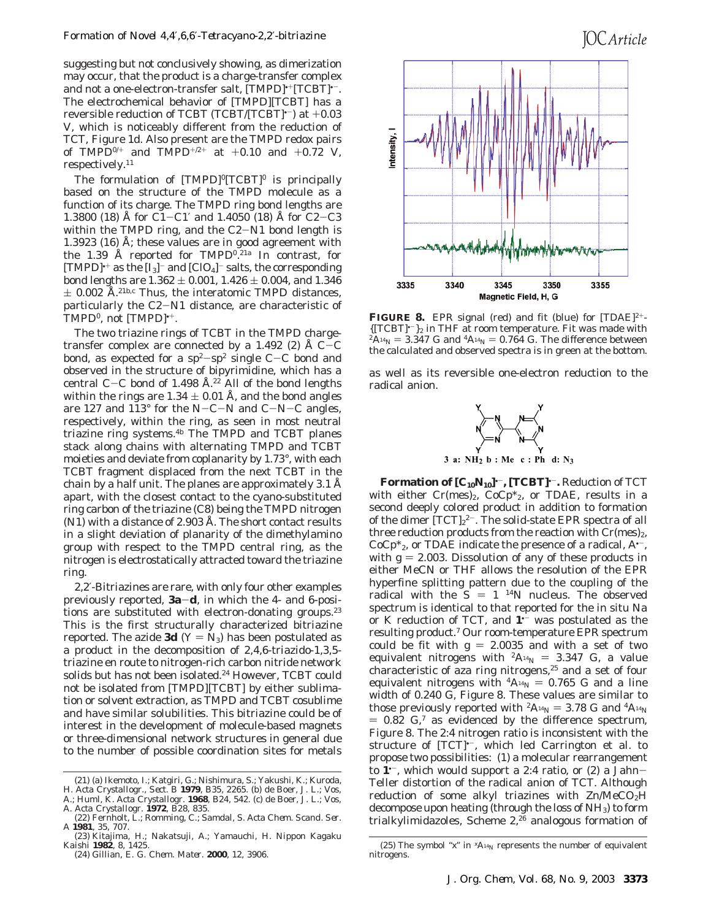suggesting but not conclusively showing, as dimerization may occur, that the product is a charge-transfer complex and not a one-electron-transfer salt, [TMPD]<sup>++</sup>[TCBT]<sup>+-</sup>. The electrochemical behavior of [TMPD][TCBT] has a reversible reduction of TCBT (TCBT/[TCBT] $-$ ) at  $+0.03$ V, which is noticeably different from the reduction of TCT, Figure 1d. Also present are the TMPD redox pairs of TMPD<sup>0/+</sup> and TMPD<sup>+/2+</sup> at +0.10 and +0.72 V, respectively.11

The formulation of  $[TMPD]^0[TCBT]^0$  is principally based on the structure of the TMPD molecule as a function of its charge. The TMPD ring bond lengths are 1.3800 (18) Å for C1-C1' and 1.4050 (18) Å for C2-C3 within the TMPD ring, and the C2-N1 bond length is 1.3923 (16) Å; these values are in good agreement with the 1.39 Å reported for TMPD<sup>0</sup>.<sup>21a</sup> In contrast, for [TMPD]<sup>\*+</sup> as the  $[I_3]$ <sup>-</sup> and [ClO<sub>4</sub>]<sup>-</sup> salts, the corresponding bond lengths are  $1.362 \pm 0.001$ ,  $1.426 \pm 0.004$ , and  $1.346$  $\pm$  0.002 Å.<sup>21b,c</sup> Thus, the interatomic TMPD distances, particularly the C2-N1 distance, are characteristic of TMPD<sup>0</sup>, not  $[TMPD]^{+1}$ .

The two triazine rings of TCBT in the TMPD chargetransfer complex are connected by a 1.492 (2)  $\AA$  C-C bond, as expected for a  $sp^2$ -sp<sup>2</sup> single C-C bond and observed in the structure of bipyrimidine, which has a central C-C bond of 1.498 Å.<sup>22</sup> All of the bond lengths within the rings are  $1.34 \pm 0.01$  Å, and the bond angles are 127 and 113° for the N-C-N and C-N-C angles, respectively, within the ring, as seen in most neutral triazine ring systems.4b The TMPD and TCBT planes stack along chains with alternating TMPD and TCBT moieties and deviate from coplanarity by 1.73°, with each TCBT fragment displaced from the next TCBT in the chain by a half unit. The planes are approximately 3.1 Å apart, with the closest contact to the cyano-substituted ring carbon of the triazine (C8) being the TMPD nitrogen (N1) with a distance of 2.903 Å. The short contact results in a slight deviation of planarity of the dimethylamino group with respect to the TMPD central ring, as the nitrogen is electrostatically attracted toward the triazine ring.

2,2′-Bitriazines are rare, with only four other examples previously reported, **3a**-**d**, in which the 4- and 6-positions are substituted with electron-donating groups.<sup>23</sup> This is the first structurally characterized bitriazine reported. The azide **3d** ( $Y = N_3$ ) has been postulated as a product in the decomposition of 2,4,6-triazido-1,3,5 triazine en route to nitrogen-rich carbon nitride network solids but has not been isolated.<sup>24</sup> However, TCBT could not be isolated from [TMPD][TCBT] by either sublimation or solvent extraction, as TMPD and TCBT cosublime and have similar solubilities. This bitriazine could be of interest in the development of molecule-based magnets or three-dimensional network structures in general due to the number of possible coordination sites for metals





**FIGURE 8.** EPR signal (red) and fit (blue) for  $[TDAE]^{2+}$ -<br>{ $[TCBT]^{r-}$ }<sub>2</sub> in THF at room temperature. Fit was made with  ${}^{2}\text{A}^{14}\text{N} = 3.347 \text{ G}$  and  ${}^{4}\text{A}^{14}\text{N} = 0.764 \text{ G}$ . The difference between the calculated and observed spectra is in green at the bottom.

as well as its reversible one-electron reduction to the radical anion.



**Formation of**  $[C_{10}N_{10}]$ **<sup>+-</sup>, [TCBT]<sup>+-</sup>. Reduction of TCT** with either  $Cr(mes)_2$ ,  $CoCp*_{2}$ , or TDAE, results in a second deeply colored product in addition to formation of the dimer  $[TCT]_2^2$ <sup>-</sup>. The solid-state EPR spectra of all three reduction products from the reaction with  $Cr(mes)_{2}$ ,  $CoCp*_{2}$ , or TDAE indicate the presence of a radical, A<sup> $-$ </sup>, with  $g = 2.003$ . Dissolution of any of these products in either MeCN or THF allows the resolution of the EPR hyperfine splitting pattern due to the coupling of the radical with the  $S = 1$  <sup>14</sup>N nucleus. The observed spectrum is identical to that reported for the in situ Na or K reduction of TCT, and **1**•- was postulated as the resulting product.7 Our room-temperature EPR spectrum could be fit with  $g = 2.0035$  and with a set of two equivalent nitrogens with  ${}^{2}A_{14}N = 3.347$  G, a value characteristic of aza ring nitrogens,<sup>25</sup> and a set of four equivalent nitrogens with  ${}^4A_{14}N = 0.765$  G and a line width of 0.240 G, Figure 8. These values are similar to those previously reported with  ${}^2A_{14}N = 3.78$  G and  ${}^4A_{14}N$  $= 0.82$  G,<sup>7</sup> as evidenced by the difference spectrum, Figure 8. The 2:4 nitrogen ratio is inconsistent with the structure of [TCT]<sup>\*-</sup>, which led Carrington et al. to propose two possibilities: (1) a molecular rearrangement to **<sup>1</sup>**•-, which would support a 2:4 ratio, or (2) a Jahn-Teller distortion of the radical anion of TCT. Although reduction of some alkyl triazines with  $\text{Zn}/\text{MeCO}_2\text{H}$ decompose upon heating (through the loss of NH<sub>3</sub>) to form trialkylimidazoles, Scheme  $2,26$  analogous formation of

<sup>(21) (</sup>a) Ikemoto, I.; Katgiri, G.; Nishimura, S.; Yakushi, K.; Kuroda, H. *Acta Crystallogr., Sect. B* **1979**, *B35*, 2265. (b) de Boer, J. L.; Vos, A.; Huml, K. *Acta Crystallogr.* **1968**, *B24*, 542. (c) de Boer, J. L.; Vos,

A. *Acta Crystallogr.* **1972**, *B28*, 835. (22) Fernholt, L.; Romming, C.; Samdal, S. *Acta Chem. Scand. Ser.*

*A* **1981**, *35*, 707.

<sup>(23)</sup> Kitajima, H.; Nakatsuji, A.; Yamauchi, H. *Nippon Kagaku Kaishi* **1982**, *8*, 1425.

<sup>(24)</sup> Gillian, E. G. *Chem. Mater*. **2000**, *12*, 3906.

<sup>(25)</sup> The symbol " $x$ " in  ${}^{x}A_{14}N$  represents the number of equivalent nitrogens.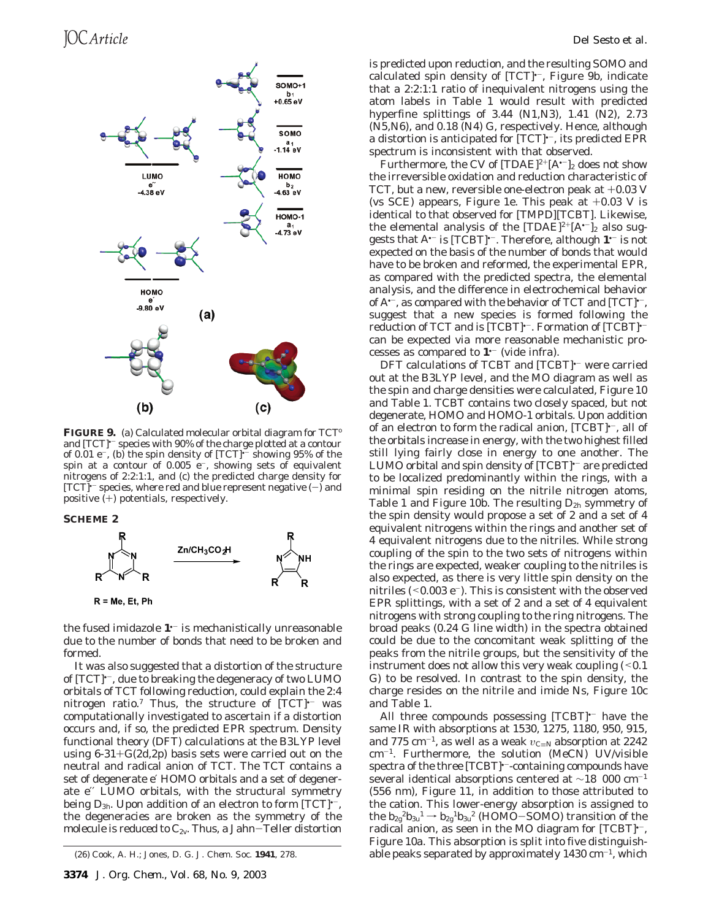

FIGURE 9. (a) Calculated molecular orbital diagram for TCT<sup>o</sup> and [TCT]<sup>--</sup> species with 90% of the charge plotted at a contour of 0.01  $e^-$ , (b) the spin density of  $[TCT]$ <sup> $-$ </sup> showing 95% of the spin at a contour of  $0.005$  e<sup>-</sup>, showing sets of equivalent nitrogens of 2:2:1:1, and (c) the predicted charge density for  $[TCT]$ <sup>-</sup> species, where red and blue represent negative  $(-)$  and positive (+) potentials, respectively.

**SCHEME 2**



the fused imidazole **1**•- is mechanistically unreasonable due to the number of bonds that need to be broken and formed.

It was also suggested that a distortion of the structure of  $[TCT]$ <sup>+-</sup>, due to breaking the degeneracy of two LUMO orbitals of TCT following reduction, could explain the 2:4 nitrogen ratio.<sup>7</sup> Thus, the structure of [TCT]<sup>+-</sup> was computationally investigated to ascertain if a distortion occurs and, if so, the predicted EPR spectrum. Density functional theory (DFT) calculations at the B3LYP level using  $6-31+G(2d,2p)$  basis sets were carried out on the neutral and radical anion of TCT. The TCT contains a set of degenerate e′ HOMO orbitals and a set of degenerate e′′ LUMO orbitals, with the structural symmetry being *D*3*h*. Upon addition of an electron to form [TCT]•-, the degeneracies are broken as the symmetry of the molecule is reduced to *C2v*. Thus, a Jahn-Teller distortion

is predicted upon reduction, and the resulting SOMO and calculated spin density of [TCT]<sup>\*-</sup>, Figure 9b, indicate that a 2:2:1:1 ratio of inequivalent nitrogens using the atom labels in Table 1 would result with predicted hyperfine splittings of 3.44 (N1,N3), 1.41 (N2), 2.73 (N5,N6), and 0.18 (N4) G, respectively. Hence, although a distortion is anticipated for [TCT]<sup>\*-</sup>, its predicted EPR spectrum is inconsistent with that observed.

Furthermore, the CV of  $[TDAE]^{2+}[A^{-}]_2$  does not show the irreversible oxidation and reduction characteristic of TCT, but a new, reversible one-electron peak at +0.03 V (vs SCE) appears, Figure 1e. This peak at  $+0.03$  V is identical to that observed for [TMPD][TCBT]. Likewise, the elemental analysis of the  $[TDAE]^{2+}[A^{-}]_2$  also suggests that A•- is [TCBT]•-. Therefore, although **1**•- is not expected on the basis of the number of bonds that would have to be broken and reformed, the experimental EPR, as compared with the predicted spectra, the elemental analysis, and the difference in electrochemical behavior of  $A^{\prime-}$ , as compared with the behavior of TCT and  $[TCT]^{\prime-}$ , suggest that a new species is formed following the reduction of TCT and is [TCBT]<sup>+-</sup>. Formation of [TCBT]<sup>+-</sup> can be expected via more reasonable mechanistic processes as compared to **1**•- (vide infra).

DFT calculations of TCBT and [TCBT]<sup>+-</sup> were carried out at the B3LYP level, and the MO diagram as well as the spin and charge densities were calculated, Figure 10 and Table 1. TCBT contains two closely spaced, but not degenerate, HOMO and HOMO-1 orbitals. Upon addition of an electron to form the radical anion, [TCBT]<sup>\*-</sup>, all of the orbitals increase in energy, with the two highest filled still lying fairly close in energy to one another. The LUMO orbital and spin density of [TCBT]<sup>--</sup> are predicted to be localized predominantly within the rings, with a minimal spin residing on the nitrile nitrogen atoms, Table 1 and Figure 10b. The resulting *D*2*<sup>h</sup>* symmetry of the spin density would propose a set of 2 and a set of 4 equivalent nitrogens within the rings and another set of 4 equivalent nitrogens due to the nitriles. While strong coupling of the spin to the two sets of nitrogens within the rings are expected, weaker coupling to the nitriles is also expected, as there is very little spin density on the nitriles  $(<0.003 e^-$ ). This is consistent with the observed EPR splittings, with a set of 2 and a set of 4 equivalent nitrogens with strong coupling to the ring nitrogens. The broad peaks (0.24 G line width) in the spectra obtained could be due to the concomitant weak splitting of the peaks from the nitrile groups, but the sensitivity of the instrument does not allow this very weak coupling  $($  < 0.1 G) to be resolved. In contrast to the spin density, the charge resides on the nitrile and imide Ns, Figure 10c and Table 1.

All three compounds possessing  $[TCBT]$ <sup>+-</sup> have the same IR with absorptions at 1530, 1275, 1180, 950, 915, and 775 cm<sup>-1</sup>, as well as a weak *υ*<sub>C≡N</sub> absorption at 2242 cm-1. Furthermore, the solution (MeCN) UV/visible spectra of the three [TCBT]<sup>\*-</sup>-containing compounds have several identical absorptions centered at ∼18 000 cm-<sup>1</sup> (556 nm), Figure 11, in addition to those attributed to the cation. This lower-energy absorption is assigned to the  $b_{2g}^2b_{3u}^1 \rightarrow b_{2g}^1b_{3u}^2$  (HOMO-SOMO) transition of the radical anion, as seen in the MO diagram for [TCBT]<sup>\*-</sup>, Figure 10a. This absorption is split into five distinguish-(26) Cook, A. H.; Jones, D. G. *J. Chem. Soc.* **1941**, 278. **able peaks separated by approximately 1430 cm<sup>-1</sup>, which**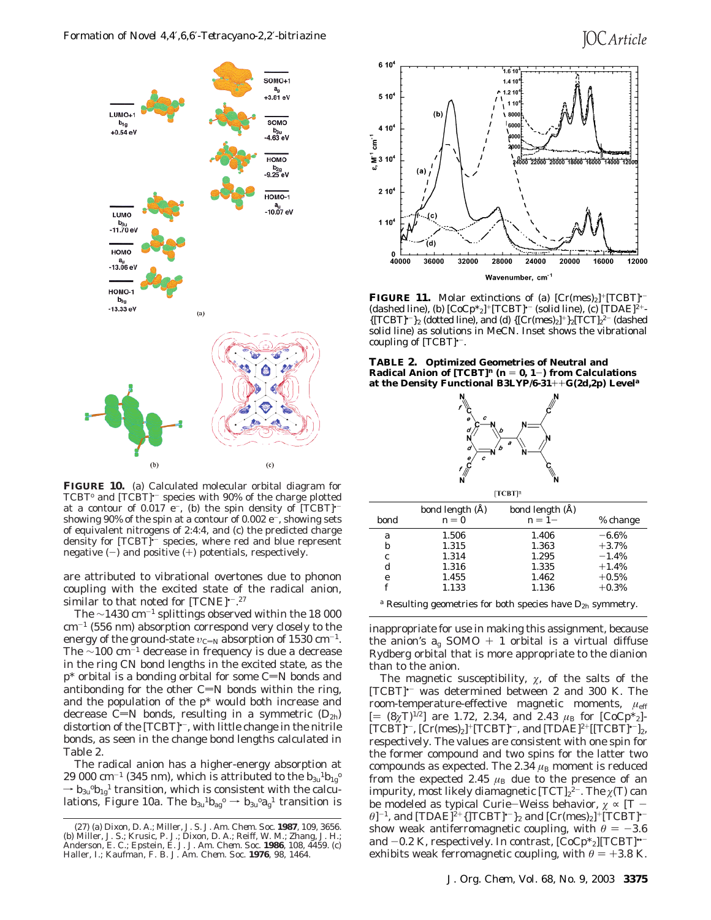

**FIGURE 10.** (a) Calculated molecular orbital diagram for TCBT<sup>o</sup> and [TCBT]<sup>+-</sup> species with 90% of the charge plotted at a contour of 0.017  $e^-$ , (b) the spin density of [TCBT] $\cdot$ showing 90% of the spin at a contour of 0.002  $e^-$ , showing sets of equivalent nitrogens of 2:4:4, and (c) the predicted charge density for [TCBT]<sup>\*-</sup> species, where red and blue represent negative  $(-)$  and positive  $(+)$  potentials, respectively.

are attributed to vibrational overtones due to phonon coupling with the excited state of the radical anion, similar to that noted for [TCNE] $-27$ 

The ∼1430 cm-<sup>1</sup> splittings observed within the 18 000  $cm^{-1}$  (556 nm) absorption correspond very closely to the energy of the ground-state  $v_{\text{C=N}}$  absorption of 1530 cm<sup>-1</sup>. The ∼100 cm-<sup>1</sup> decrease in frequency is due a decrease in the ring CN bond lengths in the excited state, as the  $p^*$  orbital is a bonding orbital for some C=N bonds and antibonding for the other  $C=N$  bonds within the ring, and the population of the p\* would both increase and decrease C=N bonds, resulting in a symmetric  $(D_{2h})$ distortion of the [TCBT]<sup>\*-</sup>, with little change in the nitrile bonds, as seen in the change bond lengths calculated in Table 2.

The radical anion has a higher-energy absorption at 29 000 cm<sup>-1</sup> (345 nm), which is attributed to the  $b_{3u}{}^{1}b_{1g}{}^{0}$  $\rightarrow$   $b_{3u}$ <sup>o</sup> $b_{1g}$ <sup>1</sup> transition, which is consistent with the calculations, Figure 10a. The  $b_{3u}{}^1b_{ag}^{\phantom{ag}} \rightarrow b_{3u}{}^0a_g{}^1$  transition is



**FIGURE 11.** Molar extinctions of (a)  $[Cr(mes)_2]^+ [TCBT]$ <sup>+-</sup> (dashed line), (b)  $[CoCp *_{2}]^{+}[TCBT]$ <sup>-</sup> (solid line), (c)  $[TDAE]^{2+}$ - ${[\text{TCBT}]^{*-}}_2$  (dotted line), and (d)  ${[\text{Cr(mes)}_2]^+}_2{[\text{TCT}]_2^2^-}$  (dashed solid line) as solutions in MeCN. Inset shows the vibrational coupling of [TCBT]•-.

**TABLE 2. Optimized Geometries of Neutral and Radical Anion of**  $[TCBT]^n$  **(** $n = 0, 1-$ **) from Calculations at the Density Functional B3LYP/6-31**++**G(2d,2p) Level***<sup>a</sup>*



| $[TCBT]$ <sup>n</sup>          |                                                    |                                                    |                                                                 |  |  |
|--------------------------------|----------------------------------------------------|----------------------------------------------------|-----------------------------------------------------------------|--|--|
| bond                           | bond length (Å)<br>$n = 0$                         | bond length (A)<br>$n=1-$                          | % change                                                        |  |  |
| a<br>b<br>$\epsilon$<br>d<br>e | 1.506<br>1.315<br>1.314<br>1.316<br>1.455<br>1.133 | 1.406<br>1.363<br>1.295<br>1.335<br>1.462<br>1.136 | $-6.6\%$<br>$+3.7%$<br>$-1.4%$<br>$+1.4%$<br>$+0.5%$<br>$+0.3%$ |  |  |
|                                |                                                    |                                                    |                                                                 |  |  |

*<sup>a</sup>* Resulting geometries for both species have *D*2*<sup>h</sup>* symmetry.

inappropriate for use in making this assignment, because the anion's  $a_g$  SOMO + 1 orbital is a virtual diffuse Rydberg orbital that is more appropriate to the dianion than to the anion.

The magnetic susceptibility,  $\chi$ , of the salts of the [TCBT]•- was determined between 2 and 300 K. The room-temperature-effective magnetic moments, *µ*eff  $[=(8\gamma T)^{1/2}]$  are 1.72, 2.34, and 2.43  $\mu_B$  for  $[CoCp^*_{2}]$ - $[TCBT]$ <sup>--</sup>,  $[Cr(mes)_2]$ <sup>+</sup> $[TCBT]$ <sup>+-</sup>, and  $[TDAE]$ <sup>2+</sup> $[[TCBT]$ <sup>+-</sup>]<sub>2</sub>, respectively. The values are consistent with one spin for the former compound and two spins for the latter two compounds as expected. The 2.34  $\mu$ <sub>B</sub> moment is reduced from the expected 2.45  $\mu$ <sub>B</sub> due to the presence of an impurity, most likely diamagnetic [TCT]2<sup>2-</sup>. The χ(*T*) can be modeled as typical Curie-Weiss behavior,  $\chi \propto [T \theta$ ]<sup>-1</sup>, and [TDAE]<sup>2+</sup>{]TCBT]<sup>•-</sup>}<sub>2</sub> and [Cr(mes)<sub>2</sub>]<sup>+</sup>[TCBT]<sup>•-</sup> show weak antiferromagnetic coupling, with  $\theta = -3.6$ and  $-0.2$  K, respectively. In contrast,  $[CoCp^*_{2}]$ [TCBT]"<sup>-</sup> exhibits weak ferromagnetic coupling, with  $\theta = +3.8$  K.

<sup>(27) (</sup>a) Dixon, D. A.; Miller, J. S. *J. Am. Chem. Soc.* **1987**, *109*, 3656. (b) Miller, J. S.; Krusic, P. J.; Dixon, D. A.; Reiff, W. M.; Zhang, J. H.; Anderson, E. C.; Epstein, E. J. *J. Am. Chem. Soc.* **1986**, *108*, 4459. (c) Haller, I.; Kaufman, F. B. *J. Am. Chem. Soc.* **1976**, *98*, 1464.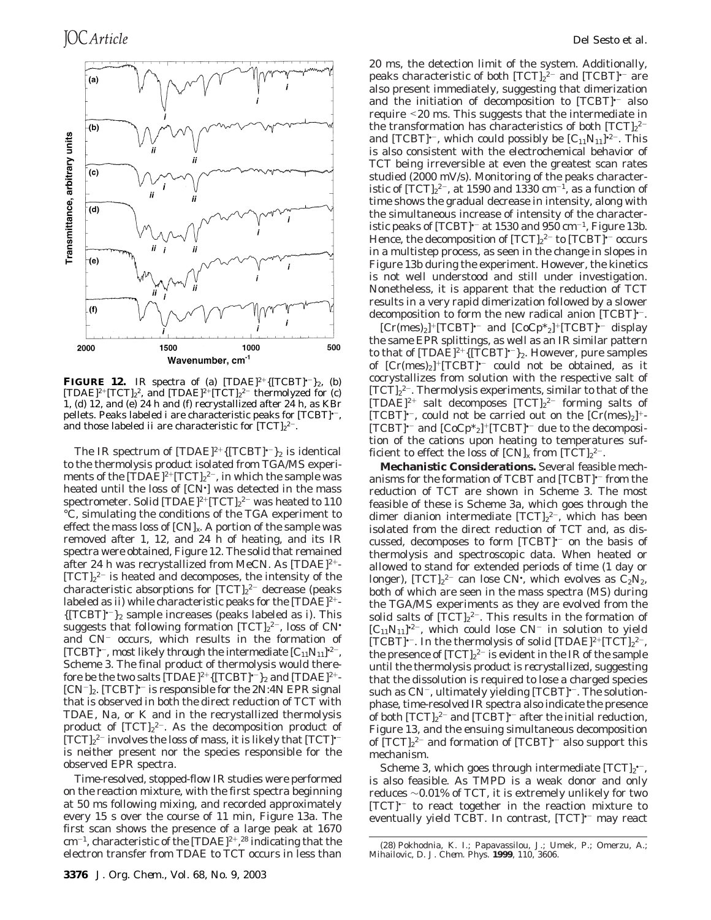

**FIGURE 12.** IR spectra of (a)  $[TDAE]^{2+}\{[TCBT]^{t-}\}_2$ , (b) [TDAE]<sup>2+</sup>[TCT]<sub>2</sub><sup>2</sup>, and [TDAE]<sup>2+</sup>[TCT]<sub>2</sub><sup>2-</sup> thermolyzed for (c) 1, (d) 12, and (e) 24 h and (f) recrystallized after 24 h, as KBr pellets. Peaks labeled *i* are characteristic peaks for [TCBT]•-, and those labeled *ii* are characteristic for  $[TCT]_2^2$ <sup>-</sup>.

The IR spectrum of  $[TDAE]^{2+}{TCBT}$ <sup>+</sup> $_2$  is identical to the thermolysis product isolated from TGA/MS experiments of the  $\mathrm{[TDAE]}^{2+}\mathrm{[TCT]}_{2}{}^{2-},$  in which the sample was heated until the loss of [CN• ] was detected in the mass spectrometer. Solid [TDAE]2+[TCT] $_2{}^2{}^-$  was heated to 110  $\,$ °C, simulating the conditions of the TGA experiment to effect the mass loss of [CN]*x*. A portion of the sample was removed after 1, 12, and 24 h of heating, and its IR spectra were obtained, Figure 12. The solid that remained after 24 h was recrystallized from MeCN. As [TDAE]2+-  $[TCT]_2^2$  is heated and decomposes, the intensity of the characteristic absorptions for  $[TCT]_2^2$ <sup>-</sup> decrease (peaks labeled as *) while characteristic peaks for the*  $[TDAE]^{2+}$ *-*{[TCBT]•-}<sup>2</sup> sample increases (peaks labeled as *i*). This suggests that following formation  $[TCT]_2^2$ , loss of CN $^{\centerdot}$ and CN<sup>-</sup> occurs, which results in the formation of [TCBT] $\cdot$ <sup>-</sup>, most likely through the intermediate  $[C_{11}N_{11}]$  $^{2-}$ , Scheme 3. The final product of thermolysis would therefore be the two salts  $[TDAE]^{2+}{[TCBT]}\text{-}^2$  and  $[TDAE]^{2+}$ - $[CN^-]_2$ .  $[TCBT]$ <sup>-</sup> is responsible for the 2N:4N EPR signal that is observed in both the direct reduction of TCT with TDAE, Na, or K and in the recrystallized thermolysis product of  $[TCT]_2^2$ . As the decomposition product of  $[TCT]_2^2$  involves the loss of mass, it is likely that  $[TCT]$ <sup>-</sup> is neither present nor the species responsible for the observed EPR spectra.

Time-resolved, stopped-flow IR studies were performed on the reaction mixture, with the first spectra beginning at 50 ms following mixing, and recorded approximately every 15 s over the course of 11 min, Figure 13a. The first scan shows the presence of a large peak at 1670  $\rm cm^{-1}$ , characteristic of the [TDAE]<sup>2+</sup>,<sup>28</sup> indicating that the electron transfer from TDAE to TCT occurs in less than

20 ms, the detection limit of the system. Additionally, peaks characteristic of both  $[{\rm TCT}]_2{}^{2-}$  and  $[{\rm TCBT}]^{\scriptscriptstyle \bullet-}$  are also present immediately, suggesting that dimerization and the initiation of decomposition to  $[TCBT]$ <sup>+-</sup> also require <20 ms. This suggests that the intermediate in the transformation has characteristics of both  $[TCT]_2^2$ <sup>-</sup> and [TCBT] $\cdot^-$ , which could possibly be  $[C_{11}N_{11}] \cdot^2$ . This is also consistent with the electrochemical behavior of TCT being irreversible at even the greatest scan rates studied (2000 mV/s). Monitoring of the peaks characteristic of  $[\text{TCT}]_2{}^{2-}$ , at 1590 and 1330 cm $^{-1}$ , as a function of time shows the gradual decrease in intensity, along with the simultaneous increase of intensity of the characteristic peaks of  $[TCBT]$ <sup> $-$ </sup> at 1530 and 950 cm<sup> $-1$ </sup>, Figure 13b. Hence, the decomposition of  $[{\rm TCT}]_2{}^{2-}$  to  $[{\rm TCBT}]^{\scriptscriptstyle\bullet-}$  occurs in a multistep process, as seen in the change in slopes in Figure 13b during the experiment. However, the kinetics is not well understood and still under investigation. Nonetheless, it is apparent that the reduction of TCT results in a very rapid dimerization followed by a slower decomposition to form the new radical anion [TCBT]<sup> $-$ </sup>.

 $[Cr(mes)_2]^+ [TCBT]^{--}$  and  $[CoCp^*_{2}]^+ [TCBT]^{--}$  display the same EPR splittings, as well as an IR similar pattern to that of  $[TDAE]^{2+}{TCBT}$ <sup>+-</sup> $2$ . However, pure samples of  $[Cr(mes)_2]^+ [TCBT]$ <sup>-</sup> could not be obtained, as it cocrystallizes from solution with the respective salt of  $[TCT]_2^2$ . Thermolysis experiments, similar to that of the  $[TDAE]^{2+}$  salt decomposes  $[TCT]_2^{2-}$  forming salts of [TCBT] $^{\circ-}$ , could not be carried out on the  $[Cr(mes)_2]^+$ - $[TCBT]$ <sup>+-</sup> and  $[CoCp*_2]^+ [TCBT]$ <sup>+-</sup> due to the decomposition of the cations upon heating to temperatures sufficient to effect the loss of  $\text{[CN]}_{x}$  from  $\text{[TCT]}_{2}^{2-}.$ 

**Mechanistic Considerations.** Several feasible mechanisms for the formation of TCBT and [TCBT]•- from the reduction of TCT are shown in Scheme 3. The most feasible of these is Scheme 3a, which goes through the dimer dianion intermediate  $[TCT]_2^2$ , which has been isolated from the direct reduction of TCT and, as discussed, decomposes to form [TCBT]<sup>\*-</sup> on the basis of thermolysis and spectroscopic data. When heated or allowed to stand for extended periods of time (1 day or longer),  $[TCT]_2^2$ <sup>-</sup> can lose CN<sup>•</sup>, which evolves as  $C_2N_2$ , both of which are seen in the mass spectra (MS) during the TGA/MS experiments as they are evolved from the solid salts of  $[TCT]_2^2$ . This results in the formation of  $[C_{11}N_{11}]^{2-}$ , which could lose  $CN^-$  in solution to yield [TCBT] $\cdot$ . In the thermolysis of solid [TDAE]<sup>2+</sup>[TCT]<sub>2</sub><sup>2-</sup>, the presence of  $[TCT]_2^2$  is evident in the IR of the sample until the thermolysis product is *recrystallized*, suggesting that the dissolution is required to lose a charged species such as  $CN^-$ , ultimately yielding  $[TCBT]$ <sup>--</sup>. The solutionphase, time-resolved IR spectra also indicate the presence of both  $[TCT]_2^2$  and  $[TCBT]$ <sup>-</sup> after the initial reduction, Figure 13, and the ensuing simultaneous decomposition of  $[TCT]_2^2$  and formation of  $[TCBT]$ <sup>+-</sup> also support this mechanism.

Scheme 3, which goes through intermediate  $[\mathrm{TCT}]_2^{\bullet-}$ , is also feasible. As TMPD is a weak donor and only reduces ∼0.01% of TCT, it is extremely unlikely for two [TCT]•- to react together in the reaction mixture to eventually yield TCBT. In contrast, [TCT]<sup>+-</sup> may react

<sup>(28)</sup> Pokhodnia, K. I.; Papavassilou, J.; Umek, P.; Omerzu, A.; Mihailovic, D. *J. Chem. Phys.* **1999**, *110*, 3606.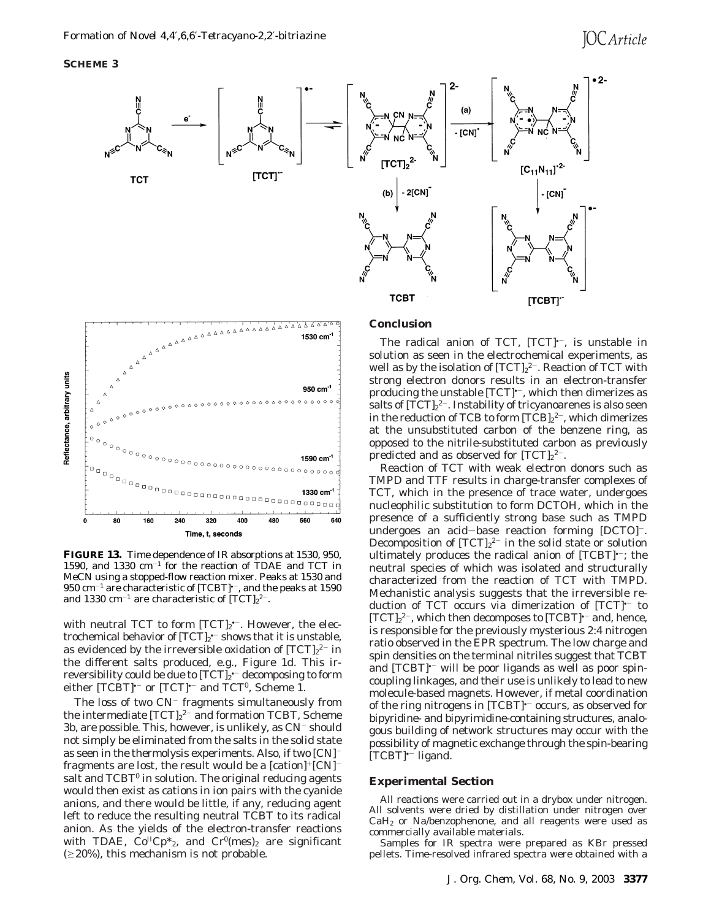## **SCHEME 3**



# **Conclusion**



**FIGURE 13.** Time dependence of IR absorptions at 1530, 950, 1590, and 1330 cm-<sup>1</sup> for the reaction of TDAE and TCT in MeCN using a stopped-flow reaction mixer. Peaks at 1530 and  $950 \text{ cm}^{-1}$  are characteristic of [TCBT] $\cdot$ , and the peaks at 1590 and 1330  $\text{cm}^{-1}$  are characteristic of  $[\text{TCT}]_2^2$ <sup>-</sup>.

with neutral TCT to form  $[TCT]_2$ <sup>+-</sup>. However, the electrochemical behavior of  $[TCT]_2$ <sup>\*-</sup> shows that it is unstable, as evidenced by the irreversible oxidation of  $[TCT]_2^{\,2-}$  in the different salts produced, e.g., Figure 1d. This irreversibility could be due to [TCT]2\*<sup>--</sup> decomposing to form either  $[TCBT]$ <sup>+-</sup> or  $[TCT]$ <sup>+-</sup> and  $TCT$ <sup>0</sup>, Scheme 1.

The loss of two  $CN^-$  fragments simultaneously from the intermediate  $[TCT]_2^2$  and formation TCBT, Scheme 3b, are possible. This, however, is unlikely, as CN<sup>-</sup> should not simply be eliminated from the salts in the solid state as seen in the thermolysis experiments. Also, if two [CN] fragments are lost, the result would be a  $[cation]^+[CN]^$ salt and TCBT<sup>0</sup> in solution. The original reducing agents would then exist as cations in ion pairs with the cyanide anions, and there would be little, if any, reducing agent left to reduce the resulting neutral TCBT to its radical anion. As the yields of the electron-transfer reactions with TDAE,  $Co<sup>H</sup>CD*_{2}$ , and  $Cr<sup>0</sup>(mes)<sub>2</sub>$  are significant  $(\geq 20\%)$ , this mechanism is not probable.

The radical anion of TCT, [TCT]<sup>+-</sup>, is unstable in solution as seen in the electrochemical experiments, as well as by the isolation of  $[\mathrm{TCT}]_2{}^{2-}.$  Reaction of TCT with strong electron donors results in an electron-transfer producing the unstable  $[TCT]$ <sup> $-$ </sup>, which then dimerizes as salts of  $[TCT]_2^2$ . Instability of tricyanoarenes is also seen in the reduction of TCB to form  $[TCB]_2^2$ , which dimerizes at the unsubstituted carbon of the benzene ring, as opposed to the nitrile-substituted carbon as previously predicted and as observed for  $[TCT]_2^2$ <sup>-</sup>.

Reaction of TCT with weak electron donors such as TMPD and TTF results in charge-transfer complexes of TCT, which in the presence of trace water, undergoes nucleophilic substitution to form DCTOH, which in the presence of a sufficiently strong base such as TMPD undergoes an acid-base reaction forming [DCTO]-. Decomposition of  $[TCT]_2^2$  in the solid state or solution ultimately produces the radical anion of [TCBT]<sup>\*-</sup>; the neutral species of which was isolated and structurally characterized from the reaction of TCT with TMPD. Mechanistic analysis suggests that the irreversible reduction of TCT occurs via dimerization of [TCT]<sup>+-</sup> to  $[TCT]_2^2$ , which then decomposes to  $[TCBT]$ <sup>--</sup> and, hence, is responsible for the previously mysterious 2:4 nitrogen ratio observed in the EPR spectrum. The low charge and spin densities on the terminal nitriles suggest that TCBT and  $[TCBT]$ <sup> $-$ </sup> will be poor ligands as well as poor spincoupling linkages, and their use is unlikely to lead to new molecule-based magnets. However, if metal coordination of the ring nitrogens in [TCBT]<sup>+-</sup> occurs, as observed for bipyridine- and bipyrimidine-containing structures, analogous building of network structures may occur with the possibility of magnetic exchange through the spin-bearing  $[TCBT]$ <sup>--</sup> ligand.

### **Experimental Section**

All reactions were carried out in a drybox under nitrogen. All solvents were dried by distillation under nitrogen over  $CaH<sub>2</sub>$  or Na/benzophenone, and all reagents were used as commercially available materials.

Samples for IR spectra were prepared as KBr pressed pellets. Time-resolved infrared spectra were obtained with a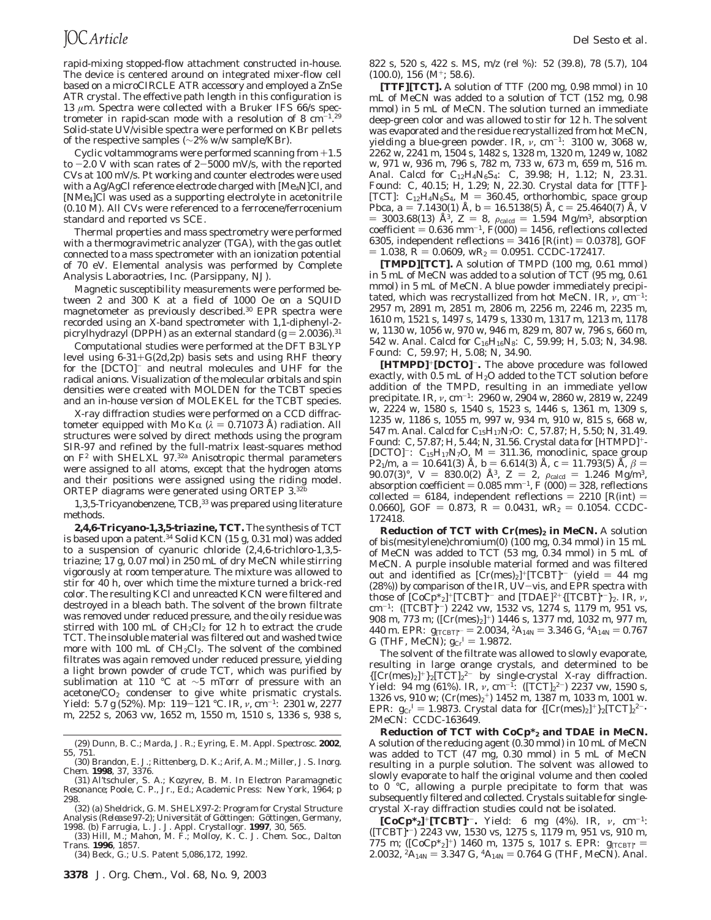rapid-mixing stopped-flow attachment constructed in-house. The device is centered around on integrated mixer-flow cell based on a microCIRCLE ATR accessory and employed a ZnSe ATR crystal. The effective path length in this configuration is 13 *µ*m. Spectra were collected with a Bruker IFS 66/s spectrometer in rapid-scan mode with a resolution of 8  $\text{cm}^{-1.29}$ Solid-state UV/visible spectra were performed on KBr pellets of the respective samples (∼2% w/w sample/KBr).

Cyclic voltammograms were performed scanning from +1.5 to  $-2.0$  V with scan rates of  $2-5000$  mV/s, with the reported CVs at 100 mV/s. Pt working and counter electrodes were used with a Ag/AgCl reference electrode charged with [Me<sub>4</sub>N]Cl, and [NMe4]Cl was used as a supporting electrolyte in acetonitrile (0.10 M). All CVs were referenced to a ferrocene/ferrocenium standard and reported vs SCE.

Thermal properties and mass spectrometry were performed with a thermogravimetric analyzer (TGA), with the gas outlet connected to a mass spectrometer with an ionization potential of 70 eV. Elemental analysis was performed by Complete Analysis Laboraotries, Inc. (Parsippany, NJ).

Magnetic susceptibility measurements were performed between 2 and 300 K at a field of 1000 Oe on a SQUID magnetometer as previously described.30 EPR spectra were recorded using an X-band spectrometer with 1,1-diphenyl-2 picrylhydrazyl (DPPH) as an external standard  $(g = 2.0036)^{31}$ 

Computational studies were performed at the DFT B3LYP level using  $6-31+G(2d,2p)$  basis sets and using RHF theory for the [DCTO]- and neutral molecules and UHF for the radical anions. Visualization of the molecular orbitals and spin densities were created with MOLDEN for the TCBT species and an in-house version of MOLEKEL for the TCBT species.

X-ray diffraction studies were performed on a CCD diffractometer equipped with Mo K $\alpha$  ( $\lambda$  = 0.71073 Å) radiation. All structures were solved by direct methods using the program SIR-97 and refined by the full-matrix least-squares method on  $F^2$  with SHELXL 97.<sup>32a</sup> Anisotropic thermal parameters were assigned to all atoms, except that the hydrogen atoms and their positions were assigned using the riding model. ORTEP diagrams were generated using ORTEP 3.32

1,3,5-Tricyanobenzene, TCB,<sup>33</sup> was prepared using literature methods.

**2,4,6-Tricyano-1,3,5-triazine, TCT.** The synthesis of TCT is based upon a patent.<sup>34</sup> Solid KCN (15 g, 0.31 mol) was added to a suspension of cyanuric chloride (2,4,6-trichloro-1,3,5 triazine; 17 g, 0.07 mol) in 250 mL of dry MeCN while stirring vigorously at room temperature. The mixture was allowed to stir for 40 h, over which time the mixture turned a brick-red color. The resulting KCl and unreacted KCN were filtered and destroyed in a bleach bath. The solvent of the brown filtrate was removed under reduced pressure, and the oily residue was stirred with 100 mL of  $CH_2Cl_2$  for 12 h to extract the crude TCT. The insoluble material was filtered out and washed twice more with 100 mL of  $CH_2Cl_2$ . The solvent of the combined filtrates was again removed under reduced pressure, yielding a light brown powder of crude TCT, which was purified by sublimation at 110 °C at ∼5 mTorr of pressure with an acetone/ $CO<sub>2</sub>$  condenser to give white prismatic crystals. Yield: 5.7 g (52%). Mp: 119-121 °C. IR, *<sup>ν</sup>*, cm-1: 2301 w, 2277 m, 2252 s, 2063 vw, 1652 m, 1550 m, 1510 s, 1336 s, 938 s,

(29) Dunn, B. C.; Marda, J. R.; Eyring, E. M. *Appl. Spectrosc.* **2002**, *55*, 751.

1998. (b) Farrugia, L. J. *J. Appl. Crystallogr*. **1997**, *30*, 565. (33) Hill, M.; Mahon, M. F.; Molloy, K. C. *J. Chem. Soc., Dalton Trans.* **1996**, 1857.

(34) Beck, G.; U.S. Patent 5,086,172, 1992.

822 s, 520 s, 422 s. MS, *m*/*z* (rel %): 52 (39.8), 78 (5.7), 104  $(100.0), 156$  (M<sup>+</sup>; 58.6).

**[TTF][TCT].** A solution of TTF (200 mg, 0.98 mmol) in 10 mL of MeCN was added to a solution of TCT (152 mg, 0.98 mmol) in 5 mL of MeCN. The solution turned an immediate deep-green color and was allowed to stir for 12 h. The solvent was evaporated and the residue recrystallized from hot MeCN, yielding a blue-green powder. IR, *ν*, cm-1: 3100 w, 3068 w, 2262 w, 2241 m, 1504 s, 1482 s, 1328 m, 1320 m, 1249 w, 1082 w, 971 w, 936 m, 796 s, 782 m, 733 w, 673 m, 659 m, 516 m. Anal. Calcd for C<sub>12</sub>H<sub>4</sub>N<sub>6</sub>S<sub>4</sub>: C, 39.98; H, 1.12; N, 23.31. Found: C, 40.15; H, 1.29; N, 22.30. Crystal data for [TTF]- [TCT]:  $C_{12}H_4N_6S_4$ ,  $M = 360.45$ , orthorhombic, space group *Pbca*,  $a = 7.1430(1)$  Å,  $b = 16.5138(5)$  Å,  $c = 25.4640(7)$  Å,  $V$ *Pbca*,  $a = 7.1430(1)$  Å,  $b = 16.5138(5)$  Å,  $c = 25.4640(7)$  Å,  $V = 3003.68(13)$  Å<sup>3</sup>  $Z = 8$ ,  $a_{\text{ideal}} = 1.594$  Mg/m<sup>3</sup> absorption  $\lambda = 3003.68(13)$   $\rm \AA^3$ ,  $Z = 8$ ,  $\rho_{\rm{calcd}} = 1.594$  Mg/m<sup>3</sup>, absorption<br>coefficient = 0.636 mm<sup>-1</sup> F(000) = 1456, reflections collected coefficient =  $0.636$  mm<sup>-1</sup>, *F*(000) = 1456, reflections collected 6305, independent reflections =  $3416$  [ $R(int) = 0.0378$ ], GOF  $= 1.038, R = 0.0609, \text{ w}R_2 = 0.0951. \text{ CCDC-172417.}$ 

**[TMPD][TCT].** A solution of TMPD (100 mg, 0.61 mmol) in 5 mL of MeCN was added to a solution of TCT (95 mg, 0.61 mmol) in 5 mL of MeCN. A blue powder immediately precipitated, which was recrystallized from hot MeCN. IR, *ν*, cm<sup>-1</sup>: 2957 m, 2891 m, 2851 m, 2806 m, 2256 m, 2246 m, 2235 m, 1610 m, 1521 s, 1497 s, 1479 s, 1330 m, 1317 m, 1213 m, 1178 w, 1130 w, 1056 w, 970 w, 946 m, 829 m, 807 w, 796 s, 660 m, 542 w. Anal. Calcd for C16H16N8: C, 59.99; H, 5.03; N, 34.98. Found: C, 59.97; H, 5.08; N, 34.90.

**[HTMPD]**+**[DCTO]**-**.** The above procedure was followed exactly, with  $0.5$  mL of  $H<sub>2</sub>O$  added to the TCT solution before addition of the TMPD, resulting in an immediate yellow precipitate. IR, *ν*, cm-1: 2960 w, 2904 w, 2860 w, 2819 w, 2249 w, 2224 w, 1580 s, 1540 s, 1523 s, 1446 s, 1361 m, 1309 s, 1235 w, 1186 s, 1055 m, 997 w, 934 m, 910 w, 815 s, 668 w, 547 m. Anal. Calcd for C15H17N7O: C, 57.87; H, 5.50; N, 31.49. Found: C, 57.87; H, 5.44; N, 31.56. Crystal data for [HTMPD]+- [DCTO]<sup>-</sup>: C<sub>15</sub>H<sub>17</sub>N<sub>7</sub>O,  $M = 311.36$ , monoclinic, space group *P*2<sub>1</sub>/*m*, *a* = 10.641(3) Å, *b* = 6.614(3) Å, *c* = 11.793(5) Å,  $\beta$  = 90.07(3)°, *V* = 830.0(2) Å<sup>3</sup>, *Z* = 2,  $\rho_{\text{caled}}$  = 1.246 Mg/m<sup>3</sup>,  $90.07(3)$ °,  $V = 830.0(2)$  Å<sup>3</sup>,  $Z = 2$ ,  $\rho_{\rm{calcd}} = 1.246$  Mg/m<sup>3</sup>, absorption coefficient = 0.085 mm<sup>-1</sup>  $F(000) = 328$  reflections absorption coefficient  $= 0.085$  mm<sup>-1</sup>,  $F(000) = 328$ , reflections<br>collected  $= 6184$ , independent reflections  $= 2210$  [*R*(int)  $=$ collected = 6184, independent reflections = 2210  $[R(int)$  = 0.0660], GOF = 0.873,  $R = 0.0431$ , w $R_2 = 0.1054$ . CCDC-172418.

**Reduction of TCT with Cr(mes)<sub>2</sub> in MeCN.** A solution of bis(mesitylene)chromium(0) (100 mg, 0.34 mmol) in 15 mL of MeCN was added to TCT (53 mg, 0.34 mmol) in 5 mL of MeCN. A purple insoluble material formed and was filtered out and identified as  $[Cr(mes)_2]^+ [TCBT]^{--}$  (yield = 44 mg (28%)) by comparison of the IR, UV-vis, and EPR spectra with those of  $[CoCp*_2]^+$ [TCBT]<sup> $-$ </sup> and  $[TDAE]^{2+}$ {[TCBT] $-$ }<sub>2</sub>. IR, *v*, cm-1: ([TCBT]•-) 2242 vw, 1532 vs, 1274 s, 1179 m, 951 vs, 908 m, 773 m; ([Cr(mes)2]+) 1446 s, 1377 md, 1032 m, 977 m, 440 m. EPR:  $g_{[TCBT]} = 2.0034$ ,  ${}^2A_{14N} = 3.346$  G,  ${}^4A_{14N} = 0.767$ <br>G (THE MeCN):  $g_{\alpha}$ <sup>T</sup> = 1.9872 G (THF, MeCN);  $g_{Cr}^I = 1.9872$ .<br>The solvent of the filtrate way

The solvent of the filtrate was allowed to slowly evaporate, resulting in large orange crystals, and determined to be  ${[Cr(mes)_2]^+}_2[TCT]_2^{2-}$  by single-crystal X-ray diffraction. Yield: 94 mg (61%). IR, *ν*, cm<sup>-1</sup>: ([TCT]<sub>2</sub><sup>2-</sup>) 2237 vw, 1590 s, 1326 vs, 910 w;  $(Cr(mes)<sub>2</sub><sup>+</sup>)$  1452 m, 1387 m, 1033 m, 1001 w. EPR: *g*<sub>Cr</sub><sup>I</sup> = 1.9873. Crystal data for {[Cr(mes)<sub>2</sub>]<sup>+</sup>}<sub>2</sub>[TCT]<sub>2</sub><sup>2-</sup>·<br>2MeCN: CCDC-163649 2MeCN: CCDC-163649.

**Reduction of TCT with CoCp\*2 and TDAE in MeCN.** A solution of the reducing agent (0.30 mmol) in 10 mL of MeCN was added to TCT (47 mg, 0.30 mmol) in 5 mL of MeCN resulting in a purple solution. The solvent was allowed to slowly evaporate to half the original volume and then cooled to 0 °C, allowing a purple precipitate to form that was subsequently filtered and collected. Crystals suitable for singlecrystal X-ray diffraction studies could not be isolated.

**[CoCp\*2]**+**[TCBT]**•-**.** Yield: 6 mg (4%). IR, *ν*, cm-1:  $(TCBT)^{-}$ ) 2243 vw, 1530 vs, 1275 s, 1179 m, 951 vs, 910 m, 775 m; ( $[CoCp<sup>*</sup><sub>2</sub>]$ <sup>+</sup>) 1460 m, 1375 s, 1017 s. EPR:  $g_{[TCBT]}$  = 2.0032, <sup>2</sup>A<sub>14N</sub> = 3.347 G, <sup>4</sup>A<sub>14N</sub> = 0.764 G (THF, MeCN). Anal.

<sup>(30)</sup> Brandon, E. J.; Rittenberg, D. K.; Arif, A. M.; Miller, J. S. *Inorg. Chem.* **1998**, *37*, 3376.

<sup>(31)</sup> Al'tschuler, S. A.; Kozyrev, B. M. In *Electron Paramagnetic Resonance*; Poole, C. P., Jr., Ed.; Academic Press: New York, 1964; p 298.

<sup>(32) (</sup>a) Sheldrick, G. M. *SHELX97-2: Program for Crystal Structure* Analysis (Release 97-2); Universität of Göttingen: Göttingen, Germany,